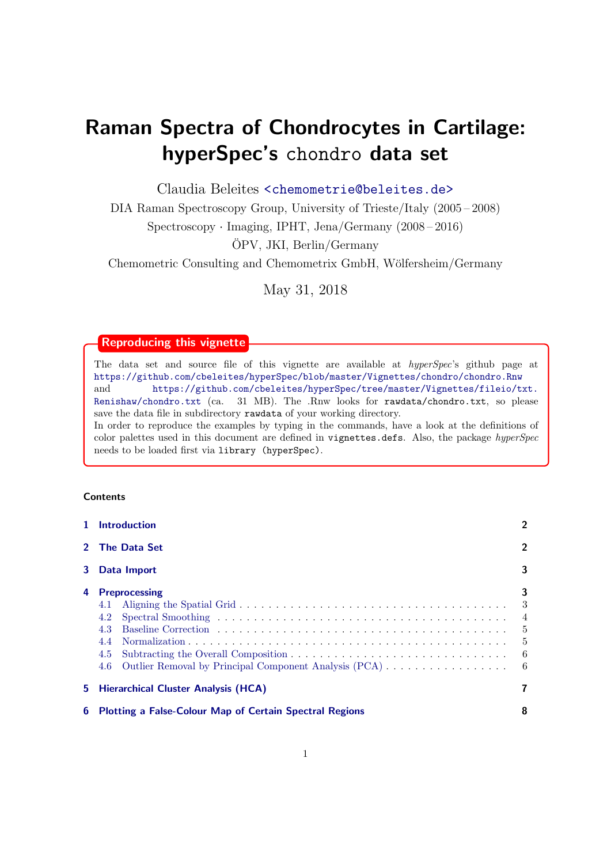# Raman Spectra of Chondrocytes in Cartilage: hyperSpec's chondro data set

Claudia Beleites <<chemometrie@beleites.de>>

DIA Raman Spectroscopy Group, University of Trieste/Italy (2005 – 2008) Spectroscopy · Imaging, IPHT, Jena/Germany (2008 – 2016) OPV, JKI, Berlin/Germany ¨

Chemometric Consulting and Chemometrix GmbH, Wölfersheim/Germany

May 31, 2018

# Reproducing this vignette

needs to be loaded first via library (hyperSpec).

The data set and source file of this vignette are available at hyperSpec's github page at <https://github.com/cbeleites/hyperSpec/blob/master/Vignettes/chondro/chondro.Rnw> and [https://github.com/cbeleites/hyperSpec/tree/master/Vignettes/fileio/txt.](https://github.com/cbeleites/hyperSpec/tree/master/Vignettes/fileio/txt.Renishaw/chondro.txt) [Renishaw/chondro.txt](https://github.com/cbeleites/hyperSpec/tree/master/Vignettes/fileio/txt.Renishaw/chondro.txt) (ca. 31 MB). The .Rnw looks for rawdata/chondro.txt, so please save the data file in subdirectory rawdata of your working directory. In order to reproduce the examples by typing in the commands, have a look at the definitions of color palettes used in this document are defined in vignettes.defs. Also, the package hyperSpec

# **Contents**

|    | 1 Introduction                                                                                                          | $\overline{2}$                                   |
|----|-------------------------------------------------------------------------------------------------------------------------|--------------------------------------------------|
|    | 2 The Data Set                                                                                                          | $\overline{2}$                                   |
|    | 3 Data Import                                                                                                           | 3                                                |
| 4  | <b>Preprocessing</b><br>4.1<br>4.2<br>4.3<br>4.4<br>4.5<br>Outlier Removal by Principal Component Analysis (PCA)<br>4.6 | 3<br>-3<br>$\overline{4}$<br>- 5<br>$-5$<br>$-6$ |
|    | 5 Hierarchical Cluster Analysis (HCA)                                                                                   |                                                  |
| 6. | <b>Plotting a False-Colour Map of Certain Spectral Regions</b>                                                          | 8                                                |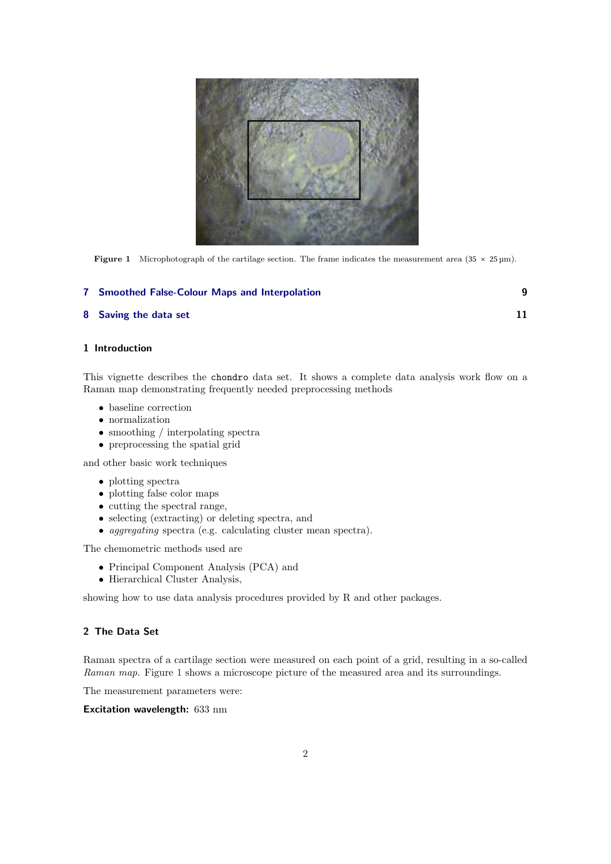<span id="page-1-2"></span>

**Figure 1** Microphotograph of the cartilage section. The frame indicates the measurement area (35  $\times$  25 µm).

# [7 Smoothed False-Colour Maps and Interpolation](#page-8-0) 9

#### [8 Saving the data set](#page-10-0) 11

# <span id="page-1-0"></span>1 Introduction

This vignette describes the chondro data set. It shows a complete data analysis work flow on a Raman map demonstrating frequently needed preprocessing methods

- baseline correction
- normalization
- smoothing / interpolating spectra
- preprocessing the spatial grid

and other basic work techniques

- plotting spectra
- plotting false color maps
- cutting the spectral range,
- selecting (extracting) or deleting spectra, and
- aggregating spectra (e.g. calculating cluster mean spectra).

The chemometric methods used are

- Principal Component Analysis (PCA) and
- Hierarchical Cluster Analysis,

showing how to use data analysis procedures provided by R and other packages.

# <span id="page-1-1"></span>2 The Data Set

Raman spectra of a cartilage section were measured on each point of a grid, resulting in a so-called Raman map. Figure [1](#page-1-2) shows a microscope picture of the measured area and its surroundings.

The measurement parameters were:

Excitation wavelength: 633 nm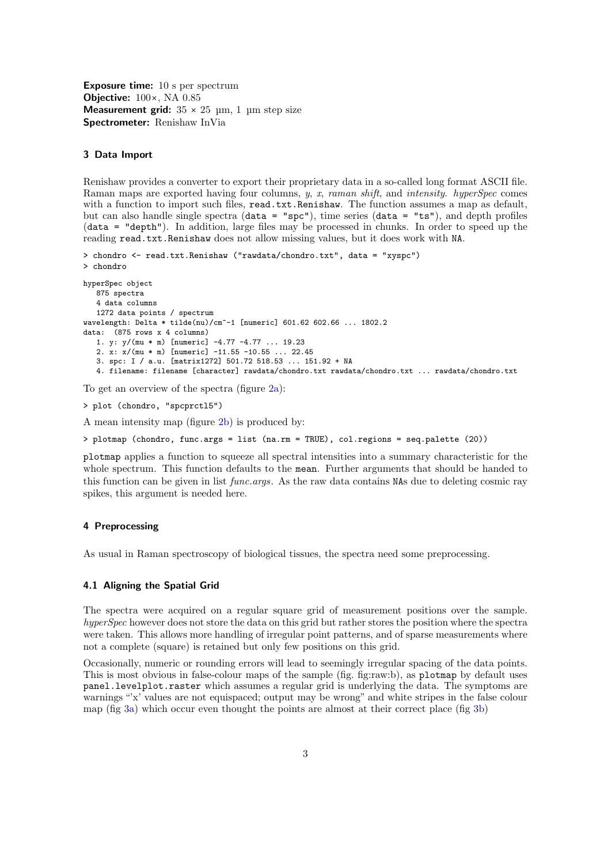Exposure time: 10 s per spectrum Objective: 100×, NA 0.85 **Measurement grid:**  $35 \times 25$  um, 1 um step size Spectrometer: Renishaw InVia

#### <span id="page-2-0"></span>3 Data Import

Renishaw provides a converter to export their proprietary data in a so-called long format ASCII file. Raman maps are exported having four columns,  $y$ ,  $x$ , raman shift, and intensity. hyperSpec comes with a function to import such files, read.txt.Renishaw. The function assumes a map as default, but can also handle single spectra (data = "spc"), time series (data = "ts"), and depth profiles (data = "depth"). In addition, large files may be processed in chunks. In order to speed up the reading read.txt.Renishaw does not allow missing values, but it does work with NA.

```
> chondro <- read.txt.Renishaw ("rawdata/chondro.txt", data = "xyspc")
> chondro
hyperSpec object
   875 spectra
   4 data columns
   1272 data points / spectrum
wavelength: Delta * tilde(nu)/cm^-1 [numeric] 601.62 602.66 ... 1802.2
data: (875 rows x 4 columns)
   1. y: y/(mu * m) [numeric] -4.77 -4.77 ... 19.23
   2. x: x/(mu * m) [numeric] -11.55 -10.55 ... 22.45
   3. spc: I / a.u. [matrix1272] 501.72 518.53 ... 151.92 + NA
   4. filename: filename [character] rawdata/chondro.txt rawdata/chondro.txt ... rawdata/chondro.txt
```
To get an overview of the spectra (figure [2a\)](#page-3-1):

> plot (chondro, "spcprctl5")

A mean intensity map (figure [2b\)](#page-3-2) is produced by:

> plotmap (chondro, func.args = list (na.rm = TRUE), col.regions = seq.palette (20))

plotmap applies a function to squeeze all spectral intensities into a summary characteristic for the whole spectrum. This function defaults to the mean. Further arguments that should be handed to this function can be given in list func.args. As the raw data contains NAs due to deleting cosmic ray spikes, this argument is needed here.

#### <span id="page-2-1"></span>4 Preprocessing

As usual in Raman spectroscopy of biological tissues, the spectra need some preprocessing.

#### <span id="page-2-2"></span>4.1 Aligning the Spatial Grid

The spectra were acquired on a regular square grid of measurement positions over the sample. hyperSpec however does not store the data on this grid but rather stores the position where the spectra were taken. This allows more handling of irregular point patterns, and of sparse measurements where not a complete (square) is retained but only few positions on this grid.

Occasionally, numeric or rounding errors will lead to seemingly irregular spacing of the data points. This is most obvious in false-colour maps of the sample (fig. fig:raw:b), as plotmap by default uses panel.levelplot.raster which assumes a regular grid is underlying the data. The symptoms are warnings "'x' values are not equispaced; output may be wrong" and white stripes in the false colour map (fig [3a\)](#page-3-3) which occur even thought the points are almost at their correct place (fig [3b\)](#page-3-4)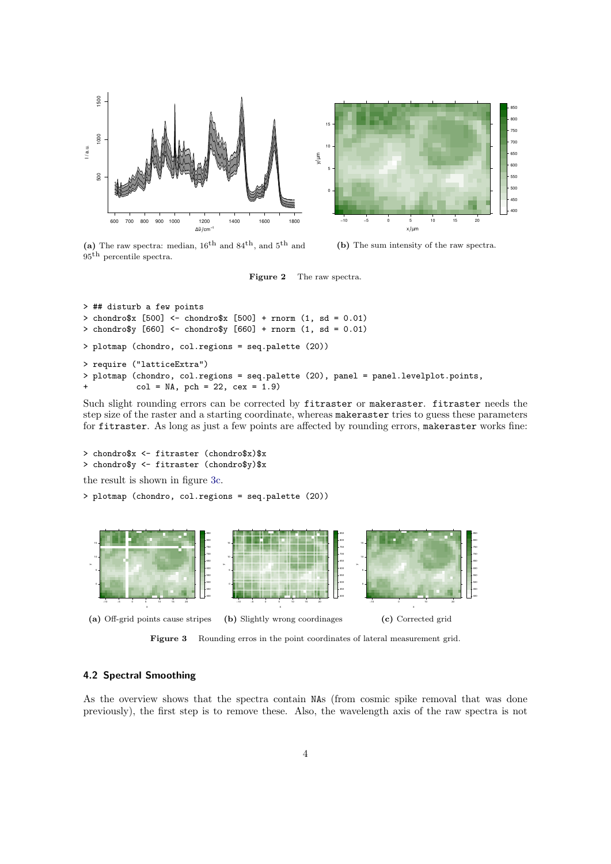<span id="page-3-1"></span>

(a) The raw spectra: median,  $16^{\text{th}}$  and  $84^{\text{th}}$ , and  $5^{\text{th}}$  and th percentile spectra.

<span id="page-3-2"></span>(b) The sum intensity of the raw spectra.

```
Figure 2 The raw spectra.
```

```
> ## disturb a few points
> chondro$x [500] <- chondro$x [500] + rnorm (1, sd = 0.01)
> chondro$y [660] <- chondro$y [660] + rnorm (1, sd = 0.01)
> plotmap (chondro, col.regions = seq.palette (20))
> require ("latticeExtra")
> plotmap (chondro, col.regions = seq.palette (20), panel = panel.levelplot.points,
           col = NA, pch = 22, cex = 1.9)
```
Such slight rounding errors can be corrected by fitraster or makeraster. fitraster needs the step size of the raster and a starting coordinate, whereas makeraster tries to guess these parameters for fitraster. As long as just a few points are affected by rounding errors, makeraster works fine:

```
> chondro$x <- fitraster (chondro$x)$x
> chondro$y <- fitraster (chondro$y)$x
the result is shown in figure 3c.
```
> plotmap (chondro, col.regions = seq.palette (20))

<span id="page-3-3"></span>

<span id="page-3-5"></span><span id="page-3-4"></span>Figure 3 Rounding erros in the point coordinates of lateral measurement grid.

## <span id="page-3-0"></span>4.2 Spectral Smoothing

As the overview shows that the spectra contain NAs (from cosmic spike removal that was done previously), the first step is to remove these. Also, the wavelength axis of the raw spectra is not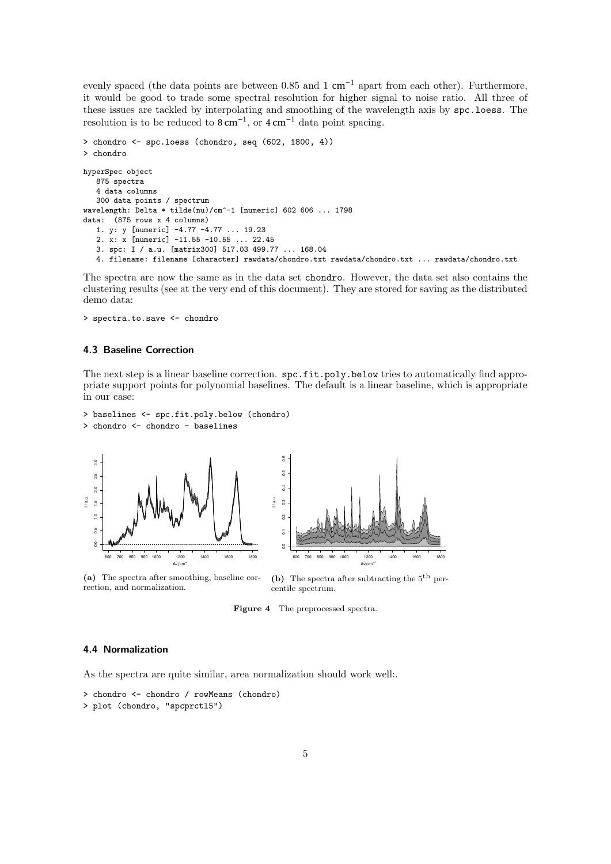evenly spaced (the data points are between 0.85 and 1 cm<sup>-1</sup> apart from each other). Furthermore, it would be good to trade some spectral resolution for higher signal to noise ratio. All three of these issues are tackled by interpolating and smoothing of the wavelength axis by spc.loess. The resolution is to be reduced to  $8 \text{ cm}^{-1}$ , or  $4 \text{ cm}^{-1}$  data point spacing.

```
> chondro <- spc.loess (chondro, seq (602, 1800, 4))
> chondro
hyperSpec object
   875 spectra
   4 data columns
   300 data points / spectrum
wavelength: Delta * tilde(nu)/cm<sup>-1</sup> [numeric] 602 606 ... 1798
data: (875 rows x 4 columns)
   1. y: y [numeric] -4.77 -4.77 ... 19.23
   2. x: x [numeric] -11.55 -10.55 ... 22.45
   3. spc: I / a.u. [matrix300] 517.03 499.77 ... 168.04
   4. filename: filename [character] rawdata/chondro.txt rawdata/chondro.txt ... rawdata/chondro.txt
```
The spectra are now the same as in the data set chondro. However, the data set also contains the clustering results (see at the very end of this document). They are stored for saving as the distributed demo data:

> spectra.to.save <- chondro

#### <span id="page-4-0"></span>4.3 Baseline Correction

The next step is a linear baseline correction.  $\texttt{spc.fit.poly.below tries to automatically find approximations}$ priate support points for polynomial baselines. The default is a linear baseline, which is appropriate in our case:

```
> baselines <- spc.fit.poly.below (chondro)
> chondro <- chondro - baselines
```
<span id="page-4-2"></span>

(a) The spectra after smoothing, baseline correction, and normalization.

<span id="page-4-3"></span>(b) The spectra after subtracting the  $5<sup>th</sup>$  percentile spectrum.

Figure 4 The preprocessed spectra.

# <span id="page-4-1"></span>4.4 Normalization

As the spectra are quite similar, area normalization should work well:.

```
> chondro <- chondro / rowMeans (chondro)
> plot (chondro, "spcprctl5")
```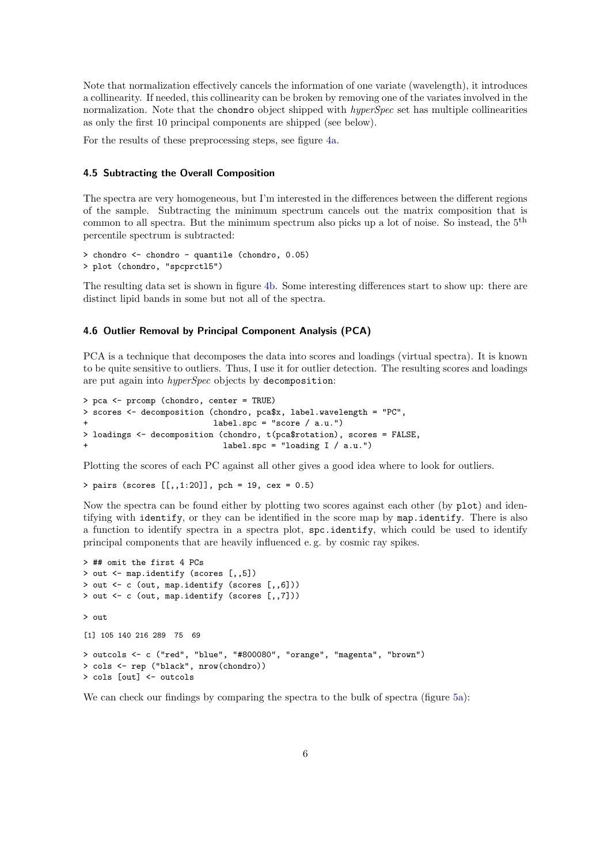Note that normalization effectively cancels the information of one variate (wavelength), it introduces a collinearity. If needed, this collinearity can be broken by removing one of the variates involved in the normalization. Note that the chondro object shipped with *hyperSpec* set has multiple collinearities as only the first 10 principal components are shipped (see below).

For the results of these preprocessing steps, see figure [4a.](#page-4-2)

### <span id="page-5-0"></span>4.5 Subtracting the Overall Composition

The spectra are very homogeneous, but I'm interested in the differences between the different regions of the sample. Subtracting the minimum spectrum cancels out the matrix composition that is common to all spectra. But the minimum spectrum also picks up a lot of noise. So instead, the 5<sup>th</sup> percentile spectrum is subtracted:

```
> chondro <- chondro - quantile (chondro, 0.05)
> plot (chondro, "spcprctl5")
```
The resulting data set is shown in figure [4b.](#page-4-3) Some interesting differences start to show up: there are distinct lipid bands in some but not all of the spectra.

# <span id="page-5-1"></span>4.6 Outlier Removal by Principal Component Analysis (PCA)

PCA is a technique that decomposes the data into scores and loadings (virtual spectra). It is known to be quite sensitive to outliers. Thus, I use it for outlier detection. The resulting scores and loadings are put again into hyperSpec objects by decomposition:

```
> pca <- prcomp (chondro, center = TRUE)
> scores <- decomposition (chondro, pca$x, label.wavelength = "PC",
                          label.spc = "score / a.u."> loadings <- decomposition (chondro, t(pca$rotation), scores = FALSE,
                             label.spc = "loading I / a.u.")
```
Plotting the scores of each PC against all other gives a good idea where to look for outliers.

> pairs (scores [[,,1:20]], pch = 19, cex = 0.5)

Now the spectra can be found either by plotting two scores against each other (by plot) and identifying with identify, or they can be identified in the score map by map.identify. There is also a function to identify spectra in a spectra plot, spc.identify, which could be used to identify principal components that are heavily influenced e. g. by cosmic ray spikes.

```
> ## omit the first 4 PCs
> out <- map.identify (scores [,,5])
> out <- c (out, map.identify (scores [,,6]))
> out <- c (out, map.identify (scores [,,7]))
> out
[1] 105 140 216 289 75 69
> outcols <- c ("red", "blue", "#800080", "orange", "magenta", "brown")
> cols <- rep ("black", nrow(chondro))
> cols [out] <- outcols
```
We can check our findings by comparing the spectra to the bulk of spectra (figure [5a\)](#page-6-1):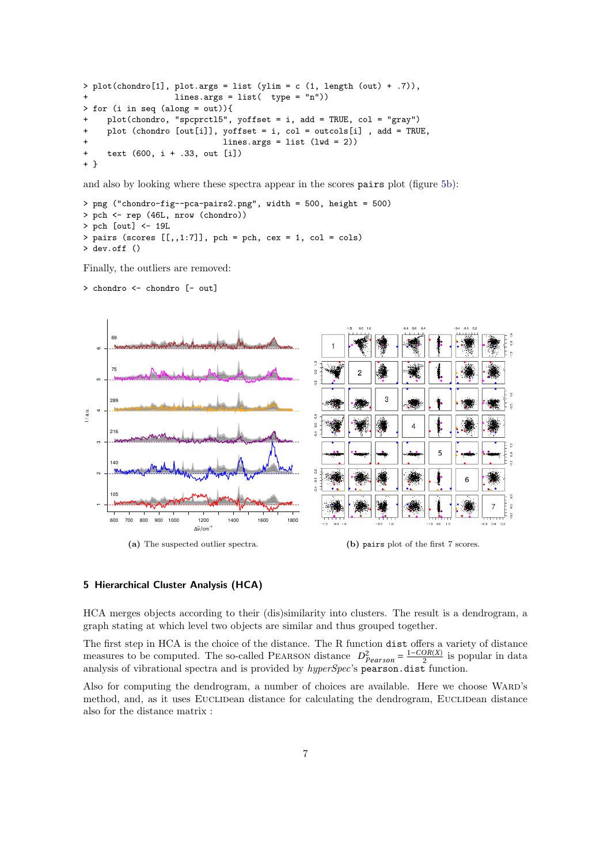```
> plot(charor [1], plot.argv = list (ylim = c (1, length (out) + .7)),lines.args = list( type = "n")> for (i in seq (along = out)){
+ plot(chondro, "spcprctl5", yoffset = i, add = TRUE, col = "gray")
    plot (chondro [out[i]], yoffset = i, col = outcols[i], add = TRUE,
                            lines.args = list (lwd = 2))text (600, i + .33, out [i])+ }
```
and also by looking where these spectra appear in the scores pairs plot (figure [5b\)](#page-6-2):

```
> png ("chondro-fig--pca-pairs2.png", width = 500, height = 500)
> pch <- rep (46L, nrow (chondro))
> pch [out] <- 19L
> pairs (scores [[,1:7]], pch = pch, cex = 1, col = cols)
> dev.off ()
```
Finally, the outliers are removed:

<span id="page-6-1"></span>> chondro <- chondro [- out]



#### <span id="page-6-2"></span><span id="page-6-0"></span>5 Hierarchical Cluster Analysis (HCA)

HCA merges objects according to their (dis)similarity into clusters. The result is a dendrogram, a graph stating at which level two objects are similar and thus grouped together.

The first step in HCA is the choice of the distance. The R function dist offers a variety of distance measures to be computed. The so-called PEARSON distance  $D_{Pearson}^2 = \frac{1-COR(X)}{2}$  is popular in data analysis of vibrational spectra and is provided by *hyperSpec*'s pearson.dist function.

Also for computing the dendrogram, a number of choices are available. Here we choose WARD's method, and, as it uses EUCLIDean distance for calculating the dendrogram, EUCLIDean distance also for the distance matrix :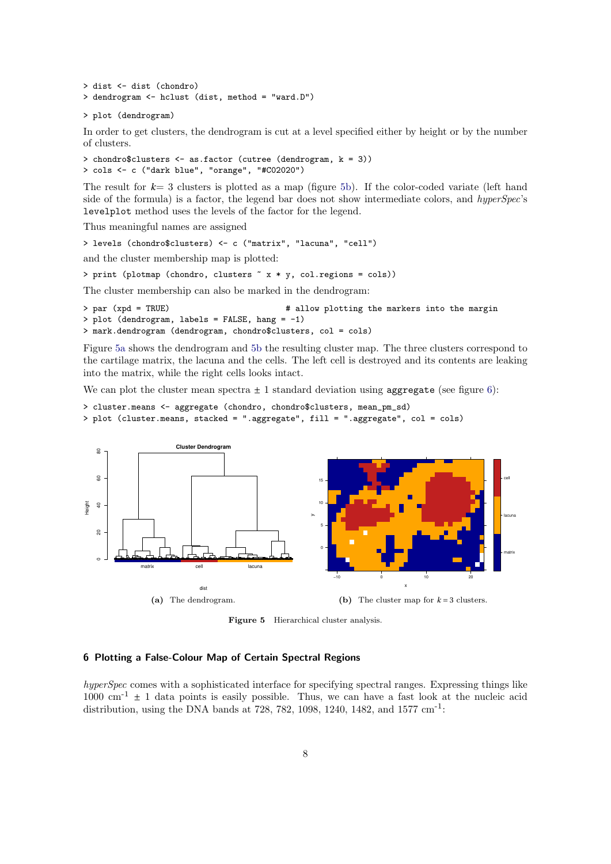```
> dist <- dist (chondro)
> dendrogram <- hclust (dist, method = "ward.D")
```

```
> plot (dendrogram)
```
In order to get clusters, the dendrogram is cut at a level specified either by height or by the number of clusters.

```
> chondro$clusters <- as.factor (cutree (dendrogram, k = 3))
> cols <- c ("dark blue", "orange", "#C02020")
```
The result for *k*= 3 clusters is plotted as a map (figure [5b\)](#page-6-2). If the color-coded variate (left hand side of the formula) is a factor, the legend bar does not show intermediate colors, and hyperSpec's levelplot method uses the levels of the factor for the legend.

Thus meaningful names are assigned

```
> levels (chondro$clusters) <- c ("matrix", "lacuna", "cell")
```
and the cluster membership map is plotted:

```
> print (plotmap (chondro, clusters ~ x * y, col.regions = cols))
```
The cluster membership can also be marked in the dendrogram:

```
> par (xpd = TRUE) + allow plotting the markers into the margin
> plot (dendrogram, labels = FALSE, hang = -1)
> mark.dendrogram (dendrogram, chondro$clusters, col = cols)
```
Figure [5a](#page-6-1) shows the dendrogram and [5b](#page-6-2) the resulting cluster map. The three clusters correspond to the cartilage matrix, the lacuna and the cells. The left cell is destroyed and its contents are leaking into the matrix, while the right cells looks intact.

We can plot the cluster mean spectra  $\pm 1$  standard deviation using aggregate (see figure [6\)](#page-8-1):

```
> cluster.means <- aggregate (chondro, chondro$clusters, mean_pm_sd)
> plot (cluster.means, stacked = ".aggregate", fill = ".aggregate", col = cols)
```


Figure 5 Hierarchical cluster analysis.

# <span id="page-7-0"></span>6 Plotting a False-Colour Map of Certain Spectral Regions

hyperSpec comes with a sophisticated interface for specifying spectral ranges. Expressing things like  $1000 \text{ cm}^{-1} \pm 1$  data points is easily possible. Thus, we can have a fast look at the nucleic acid distribution, using the DNA bands at 728, 782, 1098, 1240, 1482, and 1577 cm<sup>-1</sup>: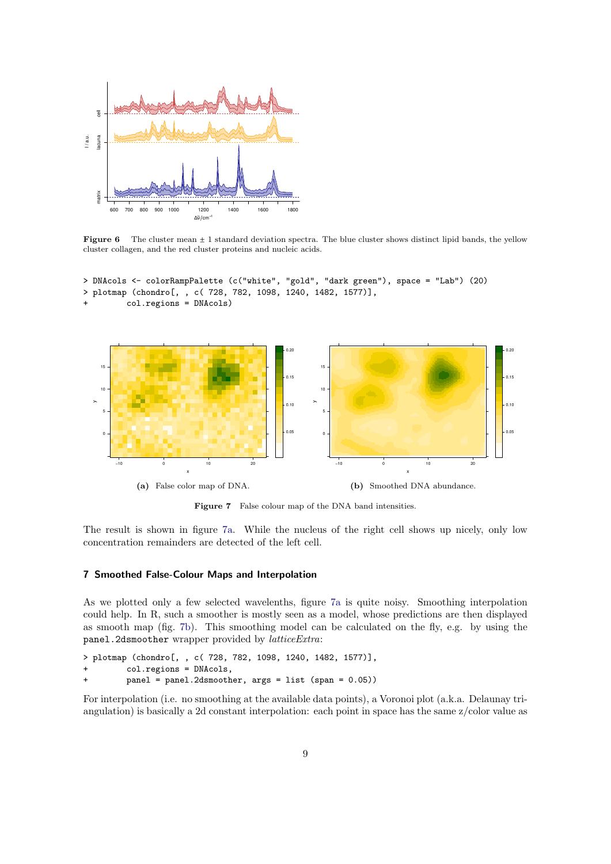<span id="page-8-1"></span>

**Figure 6** The cluster mean  $\pm 1$  standard deviation spectra. The blue cluster shows distinct lipid bands, the yellow cluster collagen, and the red cluster proteins and nucleic acids.

```
> DNAcols <- colorRampPalette (c("white", "gold", "dark green"), space = "Lab") (20)
> plotmap (chondro[, , c( 728, 782, 1098, 1240, 1482, 1577)],
         + col.regions = DNAcols)
```
<span id="page-8-2"></span>

<span id="page-8-3"></span>Figure 7 False colour map of the DNA band intensities.

The result is shown in figure [7a.](#page-8-2) While the nucleus of the right cell shows up nicely, only low concentration remainders are detected of the left cell.

#### <span id="page-8-0"></span>7 Smoothed False-Colour Maps and Interpolation

As we plotted only a few selected wavelenths, figure [7a](#page-8-2) is quite noisy. Smoothing interpolation could help. In R, such a smoother is mostly seen as a model, whose predictions are then displayed as smooth map (fig. [7b\)](#page-8-3). This smoothing model can be calculated on the fly, e.g. by using the panel.2dsmoother wrapper provided by latticeExtra:

```
> plotmap (chondro[, , c( 728, 782, 1098, 1240, 1482, 1577)],
```

```
col.regions = DNAcols,
```
 $panel = panel.2dsmoother, args = list (span = 0.05))$ 

For interpolation (i.e. no smoothing at the available data points), a Voronoi plot (a.k.a. Delaunay triangulation) is basically a 2d constant interpolation: each point in space has the same z/color value as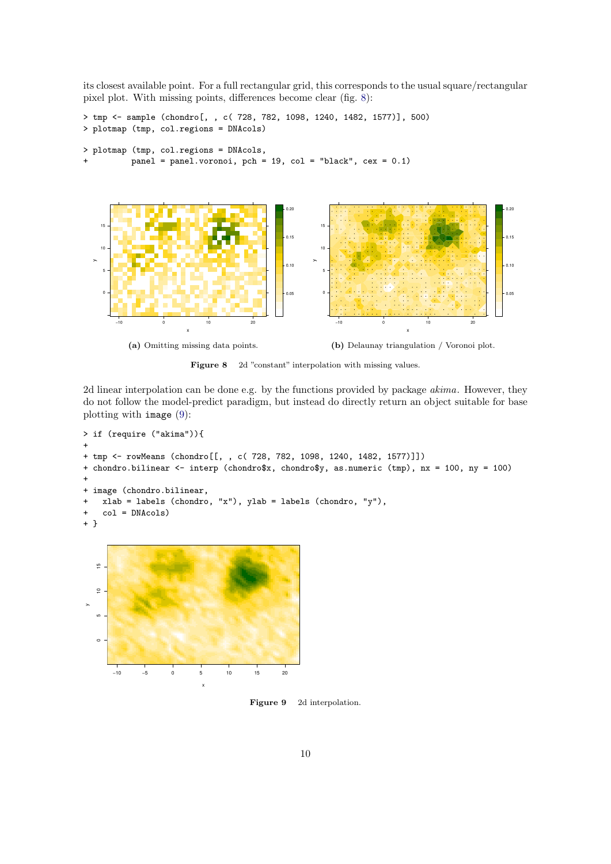its closest available point. For a full rectangular grid, this corresponds to the usual square/rectangular pixel plot. With missing points, differences become clear (fig. [8\)](#page-9-0):

```
> tmp <- sample (chondro[, , c( 728, 782, 1098, 1240, 1482, 1577)], 500)
> plotmap (tmp, col.regions = DNAcols)
> plotmap (tmp, col.regions = DNAcols,
         panel = panel.voronoi, pch = 19, col = "black", cex = 0.1)
```
<span id="page-9-0"></span>

Figure 8 2d "constant" interpolation with missing values.

2d linear interpolation can be done e.g. by the functions provided by package akima. However, they do not follow the model-predict paradigm, but instead do directly return an object suitable for base plotting with image [\(9\)](#page-9-1):

```
> if (require ("akima")){
+
+ tmp <- rowMeans (chondro[[, , c( 728, 782, 1098, 1240, 1482, 1577)]])
+ chondro.bilinear <- interp (chondro$x, chondro$y, as.numeric (tmp), nx = 100, ny = 100)
+
+ image (chondro.bilinear,
+ xlab = labels (chondro, "x"), ylab = labels (chondro, "y"),
+ col = DNAcols)
+ }
```
<span id="page-9-1"></span>

Figure 9 2d interpolation.